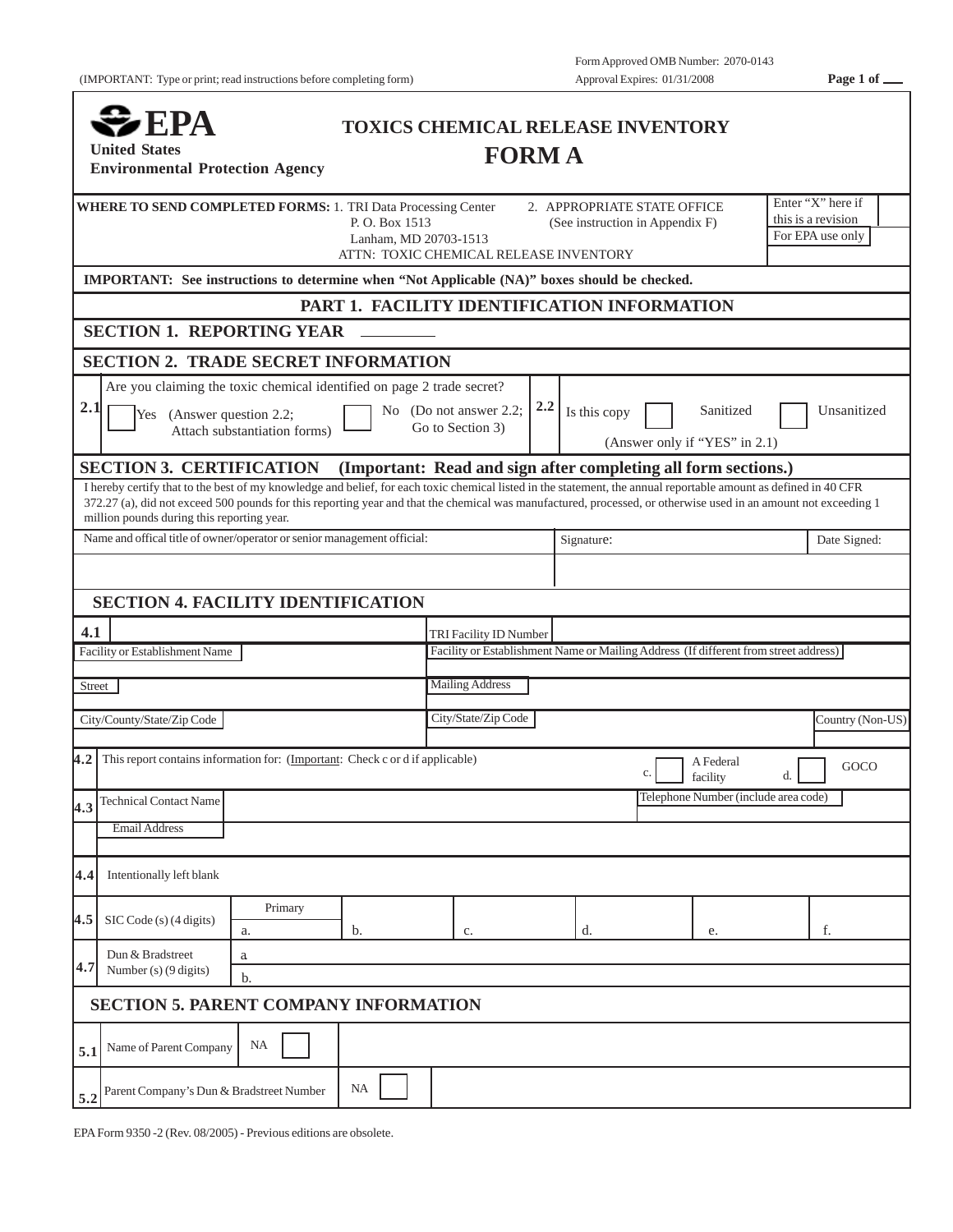| $\blacktriangleright$ EPA<br><b>United States</b>                                                                                                                                                                                                                                                                                                                                 |                                                                                 |                                                                                                                | <b>TOXICS CHEMICAL RELEASE INVENTORY</b><br><b>FORMA</b>       |         |              |                                                             |                                      |  |                  |
|-----------------------------------------------------------------------------------------------------------------------------------------------------------------------------------------------------------------------------------------------------------------------------------------------------------------------------------------------------------------------------------|---------------------------------------------------------------------------------|----------------------------------------------------------------------------------------------------------------|----------------------------------------------------------------|---------|--------------|-------------------------------------------------------------|--------------------------------------|--|------------------|
| <b>Environmental Protection Agency</b>                                                                                                                                                                                                                                                                                                                                            |                                                                                 |                                                                                                                |                                                                |         |              |                                                             |                                      |  |                  |
| WHERE TO SEND COMPLETED FORMS: 1. TRI Data Processing Center                                                                                                                                                                                                                                                                                                                      | 2. APPROPRIATE STATE OFFICE<br>P.O. Box 1513<br>(See instruction in Appendix F) |                                                                                                                |                                                                |         |              | Enter "X" here if<br>this is a revision<br>For EPA use only |                                      |  |                  |
|                                                                                                                                                                                                                                                                                                                                                                                   |                                                                                 | Lanham, MD 20703-1513                                                                                          | ATTN: TOXIC CHEMICAL RELEASE INVENTORY                         |         |              |                                                             |                                      |  |                  |
| IMPORTANT: See instructions to determine when "Not Applicable (NA)" boxes should be checked.                                                                                                                                                                                                                                                                                      |                                                                                 |                                                                                                                |                                                                |         |              |                                                             |                                      |  |                  |
|                                                                                                                                                                                                                                                                                                                                                                                   |                                                                                 |                                                                                                                | PART 1. FACILITY IDENTIFICATION INFORMATION                    |         |              |                                                             |                                      |  |                  |
| <b>SECTION 1. REPORTING YEAR</b>                                                                                                                                                                                                                                                                                                                                                  |                                                                                 |                                                                                                                |                                                                |         |              |                                                             |                                      |  |                  |
| <b>SECTION 2. TRADE SECRET INFORMATION</b>                                                                                                                                                                                                                                                                                                                                        |                                                                                 |                                                                                                                |                                                                |         |              |                                                             |                                      |  |                  |
|                                                                                                                                                                                                                                                                                                                                                                                   | Are you claiming the toxic chemical identified on page 2 trade secret?          |                                                                                                                |                                                                |         |              |                                                             |                                      |  |                  |
| 2.1<br>Yes (Answer question 2.2;                                                                                                                                                                                                                                                                                                                                                  | Attach substantiation forms)                                                    |                                                                                                                | No (Do not answer 2.2;<br>Go to Section 3)                     | $2.2\,$ | Is this copy |                                                             | Sanitized                            |  | Unsanitized      |
|                                                                                                                                                                                                                                                                                                                                                                                   |                                                                                 |                                                                                                                |                                                                |         |              |                                                             | (Answer only if "YES" in 2.1)        |  |                  |
| <b>SECTION 3. CERTIFICATION</b>                                                                                                                                                                                                                                                                                                                                                   |                                                                                 |                                                                                                                | (Important: Read and sign after completing all form sections.) |         |              |                                                             |                                      |  |                  |
| I hereby certify that to the best of my knowledge and belief, for each toxic chemical listed in the statement, the annual reportable amount as defined in 40 CFR<br>372.27 (a), did not exceed 500 pounds for this reporting year and that the chemical was manufactured, processed, or otherwise used in an amount not exceeding 1<br>million pounds during this reporting year. |                                                                                 |                                                                                                                |                                                                |         |              |                                                             |                                      |  |                  |
| Name and offical title of owner/operator or senior management official:                                                                                                                                                                                                                                                                                                           |                                                                                 |                                                                                                                | Signature:                                                     |         |              |                                                             | Date Signed:                         |  |                  |
|                                                                                                                                                                                                                                                                                                                                                                                   |                                                                                 |                                                                                                                |                                                                |         |              |                                                             |                                      |  |                  |
|                                                                                                                                                                                                                                                                                                                                                                                   |                                                                                 |                                                                                                                |                                                                |         |              |                                                             |                                      |  |                  |
| <b>SECTION 4. FACILITY IDENTIFICATION</b>                                                                                                                                                                                                                                                                                                                                         |                                                                                 |                                                                                                                |                                                                |         |              |                                                             |                                      |  |                  |
| 4.1                                                                                                                                                                                                                                                                                                                                                                               |                                                                                 | TRI Facility ID Number<br>Facility or Establishment Name or Mailing Address (If different from street address) |                                                                |         |              |                                                             |                                      |  |                  |
| Facility or Establishment Name                                                                                                                                                                                                                                                                                                                                                    |                                                                                 |                                                                                                                |                                                                |         |              |                                                             |                                      |  |                  |
| <b>Street</b>                                                                                                                                                                                                                                                                                                                                                                     |                                                                                 |                                                                                                                | <b>Mailing Address</b>                                         |         |              |                                                             |                                      |  |                  |
| City/County/State/Zip Code                                                                                                                                                                                                                                                                                                                                                        |                                                                                 |                                                                                                                | City/State/Zip Code                                            |         |              |                                                             |                                      |  | Country (Non-US) |
|                                                                                                                                                                                                                                                                                                                                                                                   |                                                                                 |                                                                                                                |                                                                |         |              |                                                             |                                      |  |                  |
| This report contains information for: (Important: Check c or d if applicable)<br>4.2                                                                                                                                                                                                                                                                                              |                                                                                 |                                                                                                                |                                                                |         |              | c.                                                          | A Federal<br>facility                |  | GOCO             |
| <b>Technical Contact Name</b><br> 4.3                                                                                                                                                                                                                                                                                                                                             |                                                                                 |                                                                                                                |                                                                |         |              |                                                             | Telephone Number (include area code) |  |                  |
| <b>Email Address</b>                                                                                                                                                                                                                                                                                                                                                              |                                                                                 |                                                                                                                |                                                                |         |              |                                                             |                                      |  |                  |
|                                                                                                                                                                                                                                                                                                                                                                                   |                                                                                 |                                                                                                                |                                                                |         |              |                                                             |                                      |  |                  |
| Intentionally left blank<br>4.4                                                                                                                                                                                                                                                                                                                                                   |                                                                                 |                                                                                                                |                                                                |         |              |                                                             |                                      |  |                  |
|                                                                                                                                                                                                                                                                                                                                                                                   | Primary                                                                         |                                                                                                                |                                                                |         |              |                                                             |                                      |  |                  |
| 4.5<br>SIC Code (s) (4 digits)                                                                                                                                                                                                                                                                                                                                                    | a.                                                                              | b.                                                                                                             | c.                                                             |         | d.           |                                                             | e.                                   |  | f.               |
| Dun & Bradstreet<br>4.7<br>Number (s) $(9 \text{ digits})$                                                                                                                                                                                                                                                                                                                        | a                                                                               |                                                                                                                |                                                                |         |              |                                                             |                                      |  |                  |
|                                                                                                                                                                                                                                                                                                                                                                                   | b.                                                                              |                                                                                                                |                                                                |         |              |                                                             |                                      |  |                  |
| <b>SECTION 5. PARENT COMPANY INFORMATION</b>                                                                                                                                                                                                                                                                                                                                      |                                                                                 |                                                                                                                |                                                                |         |              |                                                             |                                      |  |                  |
| Name of Parent Company<br>5.1                                                                                                                                                                                                                                                                                                                                                     | NA                                                                              |                                                                                                                |                                                                |         |              |                                                             |                                      |  |                  |
| Parent Company's Dun & Bradstreet Number                                                                                                                                                                                                                                                                                                                                          |                                                                                 | NA                                                                                                             |                                                                |         |              |                                                             |                                      |  |                  |
| 5.2                                                                                                                                                                                                                                                                                                                                                                               |                                                                                 |                                                                                                                |                                                                |         |              |                                                             |                                      |  |                  |

EPA Form 9350 -2 (Rev. 08/2005) - Previous editions are obsolete.